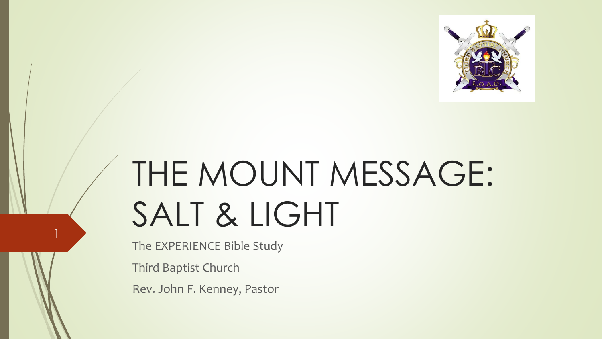

# THE MOUNT MESSAGE: SALT & LIGHT

The EXPERIENCE Bible Study

Third Baptist Church

1

Rev. John F. Kenney, Pastor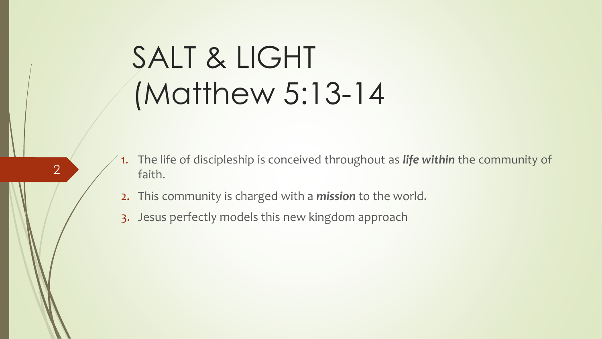#### SALT & LIGHT (Matthew 5:13-14

- 1. The life of discipleship is conceived throughout as *life within* the community of faith.
- 2. This community is charged with a *mission* to the world.
- 3. Jesus perfectly models this new kingdom approach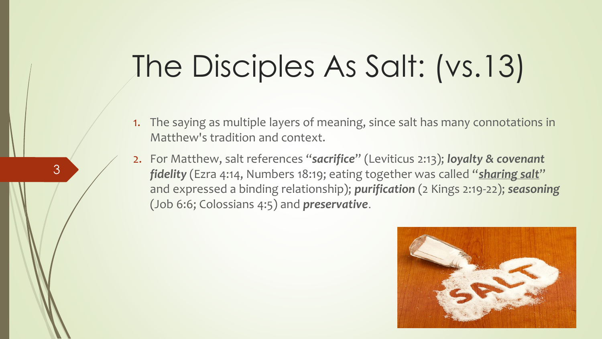#### The Disciples As Salt: (vs.13)

- 1. The saying as multiple layers of meaning, since salt has many connotations in Matthew's tradition and context.
- 2. For Matthew, salt references "*sacrifice*" (Leviticus 2:13); *loyalty & covenant fidelity* (Ezra 4:14, Numbers 18:19; eating together was called "*sharing salt*" and expressed a binding relationship); *purification* (2 Kings 2:19-22); *seasoning* (Job 6:6; Colossians 4:5) and *preservative*.

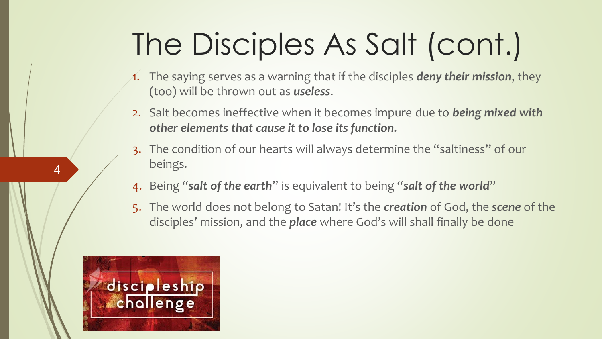### The Disciples As Salt (cont.)

- 1. The saying serves as a warning that if the disciples *deny their mission*, they (too) will be thrown out as *useless*.
- 2. Salt becomes ineffective when it becomes impure due to *being mixed with other elements that cause it to lose its function.*
- 3. The condition of our hearts will always determine the "saltiness" of our beings.
- 4. Being "*salt of the earth*" is equivalent to being "*salt of the world*"
- 5. The world does not belong to Satan! It's the *creation* of God, the *scene* of the disciples' mission, and the *place* where God's will shall finally be done

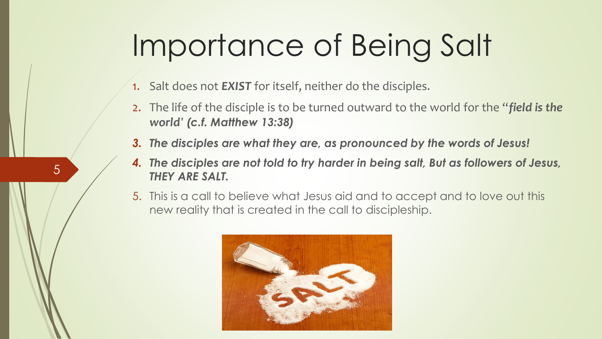#### Importance of Being Salt

- 1. Salt does not *EXIST* for itself, neither do the disciples.
- 2. The life of the disciple is to be turned outward to the world for the "*field is the world' (c.f. Matthew 13:38)*
- *3. The disciples are what they are, as pronounced by the words of Jesus!*
- *4. The disciples are not told to try harder in being salt, But as followers of Jesus, THEY ARE SALT.*
- 5. This is a call to believe what Jesus aid and to accept and to love out this new reality that is created in the call to discipleship.

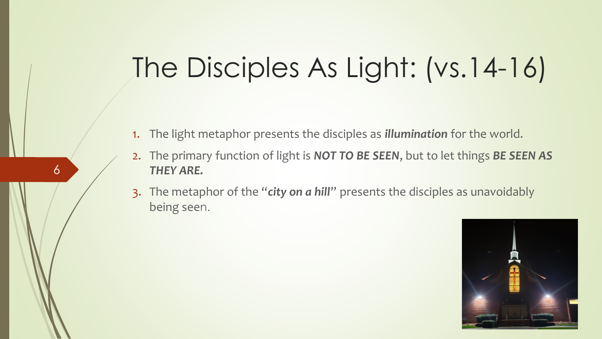#### The Disciples As Light: (vs.14-16)

1. The light metaphor presents the disciples as *illumination* for the world.

- 2. The primary function of light is *NOT TO BE SEEN*, but to let things *BE SEEN AS THEY ARE.*
- 3. The metaphor of the "*city on a hill*" presents the disciples as unavoidably being seen.

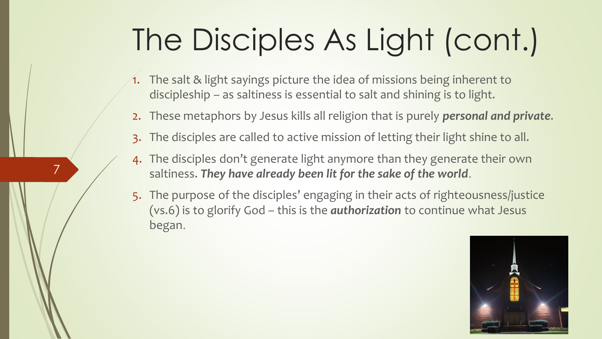### The Disciples As Light (cont.)

- 1. The salt & light sayings picture the idea of missions being inherent to discipleship – as saltiness is essential to salt and shining is to light.
- 2. These metaphors by Jesus kills all religion that is purely *personal and private*.
- 3. The disciples are called to active mission of letting their light shine to all.
- 4. The disciples don't generate light anymore than they generate their own saltiness. *They have already been lit for the sake of the world*.

7

5. The purpose of the disciples' engaging in their acts of righteousness/justice (vs.6) is to glorify God – this is the *authorization* to continue what Jesus began.